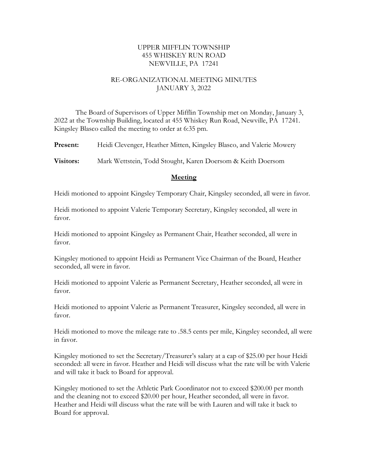## UPPER MIFFLIN TOWNSHIP 455 WHISKEY RUN ROAD NEWVILLE, PA 17241

## RE-ORGANIZATIONAL MEETING MINUTES JANUARY 3, 2022

The Board of Supervisors of Upper Mifflin Township met on Monday, January 3, 2022 at the Township Building, located at 455 Whiskey Run Road, Newville, PA 17241. Kingsley Blasco called the meeting to order at 6:35 pm.

Present: Heidi Clevenger, Heather Mitten, Kingsley Blasco, and Valerie Mowery

Visitors: Mark Wettstein, Todd Stought, Karen Doersom & Keith Doersom

#### **Meeting**

Heidi motioned to appoint Kingsley Temporary Chair, Kingsley seconded, all were in favor.

Heidi motioned to appoint Valerie Temporary Secretary, Kingsley seconded, all were in favor.

Heidi motioned to appoint Kingsley as Permanent Chair, Heather seconded, all were in favor.

Kingsley motioned to appoint Heidi as Permanent Vice Chairman of the Board, Heather seconded, all were in favor.

Heidi motioned to appoint Valerie as Permanent Secretary, Heather seconded, all were in favor.

Heidi motioned to appoint Valerie as Permanent Treasurer, Kingsley seconded, all were in favor.

Heidi motioned to move the mileage rate to .58.5 cents per mile, Kingsley seconded, all were in favor.

Kingsley motioned to set the Secretary/Treasurer's salary at a cap of \$25.00 per hour Heidi seconded: all were in favor. Heather and Heidi will discuss what the rate will be with Valerie and will take it back to Board for approval.

Kingsley motioned to set the Athletic Park Coordinator not to exceed \$200.00 per month and the cleaning not to exceed \$20.00 per hour, Heather seconded, all were in favor. Heather and Heidi will discuss what the rate will be with Lauren and will take it back to Board for approval.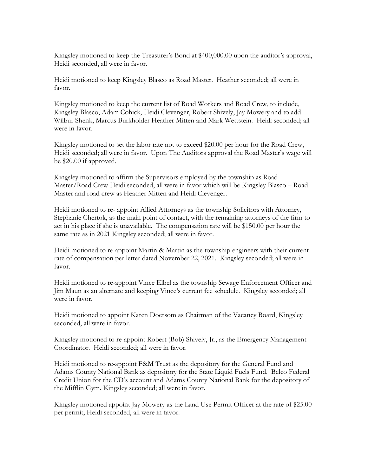Kingsley motioned to keep the Treasurer's Bond at \$400,000.00 upon the auditor's approval, Heidi seconded, all were in favor.

Heidi motioned to keep Kingsley Blasco as Road Master. Heather seconded; all were in favor.

Kingsley motioned to keep the current list of Road Workers and Road Crew, to include, Kingsley Blasco, Adam Cohick, Heidi Clevenger, Robert Shively, Jay Mowery and to add Wilbur Shenk, Marcus Burkholder Heather Mitten and Mark Wettstein. Heidi seconded; all were in favor.

Kingsley motioned to set the labor rate not to exceed \$20.00 per hour for the Road Crew, Heidi seconded; all were in favor. Upon The Auditors approval the Road Master's wage will be \$20.00 if approved.

Kingsley motioned to affirm the Supervisors employed by the township as Road Master/Road Crew Heidi seconded, all were in favor which will be Kingsley Blasco – Road Master and road crew as Heather Mitten and Heidi Clevenger.

Heidi motioned to re- appoint Allied Attorneys as the township Solicitors with Attorney, Stephanie Chertok, as the main point of contact, with the remaining attorneys of the firm to act in his place if she is unavailable. The compensation rate will be \$150.00 per hour the same rate as in 2021 Kingsley seconded; all were in favor.

Heidi motioned to re-appoint Martin & Martin as the township engineers with their current rate of compensation per letter dated November 22, 2021. Kingsley seconded; all were in favor.

Heidi motioned to re-appoint Vince Elbel as the township Sewage Enforcement Officer and Jim Maun as an alternate and keeping Vince's current fee schedule. Kingsley seconded; all were in favor.

Heidi motioned to appoint Karen Doersom as Chairman of the Vacancy Board, Kingsley seconded, all were in favor.

Kingsley motioned to re-appoint Robert (Bob) Shively, Jr., as the Emergency Management Coordinator. Heidi seconded; all were in favor.

Heidi motioned to re-appoint F&M Trust as the depository for the General Fund and Adams County National Bank as depository for the State Liquid Fuels Fund. Belco Federal Credit Union for the CD's account and Adams County National Bank for the depository of the Mifflin Gym. Kingsley seconded; all were in favor.

Kingsley motioned appoint Jay Mowery as the Land Use Permit Officer at the rate of \$25.00 per permit, Heidi seconded, all were in favor.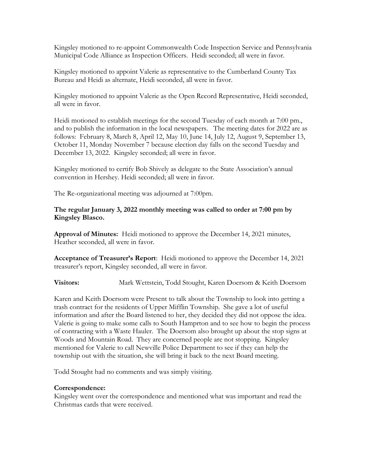Kingsley motioned to re-appoint Commonwealth Code Inspection Service and Pennsylvania Municipal Code Alliance as Inspection Officers. Heidi seconded; all were in favor.

Kingsley motioned to appoint Valerie as representative to the Cumberland County Tax Bureau and Heidi as alternate, Heidi seconded, all were in favor.

Kingsley motioned to appoint Valerie as the Open Record Representative, Heidi seconded, all were in favor.

Heidi motioned to establish meetings for the second Tuesday of each month at 7:00 pm., and to publish the information in the local newspapers. The meeting dates for 2022 are as follows: February 8, March 8, April 12, May 10, June 14, July 12, August 9, September 13, October 11, Monday November 7 because election day falls on the second Tuesday and December 13, 2022. Kingsley seconded; all were in favor.

Kingsley motioned to certify Bob Shively as delegate to the State Association's annual convention in Hershey. Heidi seconded; all were in favor.

The Re-organizational meeting was adjourned at 7:00pm.

## The regular January 3, 2022 monthly meeting was called to order at 7:00 pm by Kingsley Blasco.

Approval of Minutes: Heidi motioned to approve the December 14, 2021 minutes, Heather seconded, all were in favor.

Acceptance of Treasurer's Report: Heidi motioned to approve the December 14, 2021 treasurer's report, Kingsley seconded, all were in favor.

Visitors: Mark Wettstein, Todd Stought, Karen Doersom & Keith Doersom

Karen and Keith Doersom were Present to talk about the Township to look into getting a trash contract for the residents of Upper Mifflin Township. She gave a lot of useful information and after the Board listened to her, they decided they did not oppose the idea. Valerie is going to make some calls to South Hamprton and to see how to begin the process of contracting with a Waste Hauler. The Doersom also brought up about the stop signs at Woods and Mountain Road. They are concerned people are not stopping. Kingsley mentioned for Valerie to call Newville Police Department to see if they can help the township out with the situation, she will bring it back to the next Board meeting.

Todd Stought had no comments and was simply visiting.

## Correspondence:

Kingsley went over the correspondence and mentioned what was important and read the Christmas cards that were received.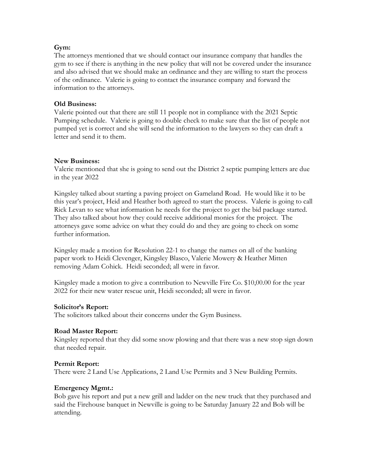## Gym:

The attorneys mentioned that we should contact our insurance company that handles the gym to see if there is anything in the new policy that will not be covered under the insurance and also advised that we should make an ordinance and they are willing to start the process of the ordinance. Valerie is going to contact the insurance company and forward the information to the attorneys.

## Old Business:

Valerie pointed out that there are still 11 people not in compliance with the 2021 Septic Pumping schedule. Valerie is going to double check to make sure that the list of people not pumped yet is correct and she will send the information to the lawyers so they can draft a letter and send it to them.

### New Business:

Valerie mentioned that she is going to send out the District 2 septic pumping letters are due in the year 2022

Kingsley talked about starting a paving project on Gameland Road. He would like it to be this year's project, Heid and Heather both agreed to start the process. Valerie is going to call Rick Levan to see what information he needs for the project to get the bid package started. They also talked about how they could receive additional monies for the project. The attorneys gave some advice on what they could do and they are going to check on some further information.

Kingsley made a motion for Resolution 22-1 to change the names on all of the banking paper work to Heidi Clevenger, Kingsley Blasco, Valerie Mowery & Heather Mitten removing Adam Cohick. Heidi seconded; all were in favor.

Kingsley made a motion to give a contribution to Newville Fire Co. \$10,00.00 for the year 2022 for their new water rescue unit, Heidi seconded; all were in favor.

#### Solicitor's Report:

The solicitors talked about their concerns under the Gym Business.

#### Road Master Report:

Kingsley reported that they did some snow plowing and that there was a new stop sign down that needed repair.

#### Permit Report:

There were 2 Land Use Applications, 2 Land Use Permits and 3 New Building Permits.

#### Emergency Mgmt.:

Bob gave his report and put a new grill and ladder on the new truck that they purchased and said the Firehouse banquet in Newville is going to be Saturday January 22 and Bob will be attending.